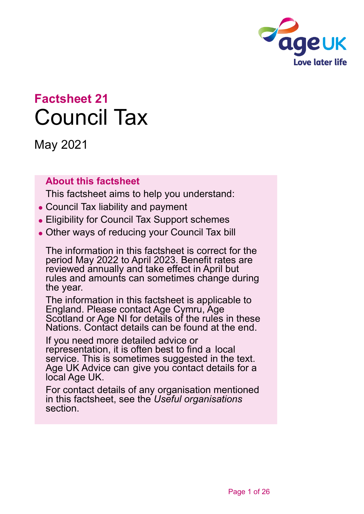

# **Factsheet 21** Council Tax

May 2021

### **About this factsheet**

This factsheet aims to help you understand:

- ⚫ Council Tax liability and payment
- ⚫ Eligibility for Council Tax Support schemes
- ⚫ Other ways of reducing your Council Tax bill

The information in this factsheet is correct for the period May 2022 to April 2023. Benefit rates are reviewed annually and take effect in April but rules and amounts can sometimes change during the year.

The information in this factsheet is applicable to England. Please contact [Age Cymru,](#page-24-0) [Age](#page-24-1)  [Scotland](#page-24-1) or [Age NI](#page-24-2) for details of the rules in these Nations. Contact details can be found at the end.

If you need more detailed advice or representation, it is often best to find a local service. This is sometimes suggested in the text. Age UK [Advice](#page-24-3) can give you contact details for a local Age UK.

For contact details of any organisation mentioned in this factsheet, see the *[Useful organisations](#page-22-0)* section.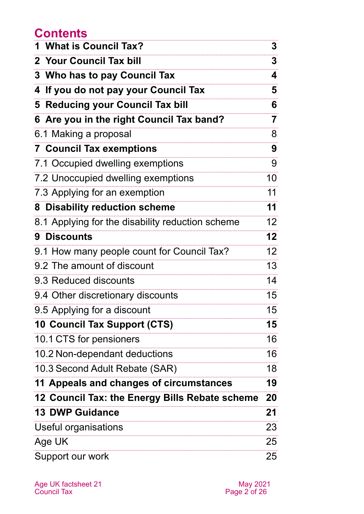## **Contents**

| 1 What is Council Tax?                           | 3              |
|--------------------------------------------------|----------------|
| 2 Your Council Tax bill                          | 3              |
| 3 Who has to pay Council Tax                     | 4              |
| 4 If you do not pay your Council Tax             | 5              |
| 5 Reducing your Council Tax bill                 | 6              |
| 6 Are you in the right Council Tax band?         | $\overline{7}$ |
| 6.1 Making a proposal                            | 8              |
| <b>7 Council Tax exemptions</b>                  | 9              |
| 7.1 Occupied dwelling exemptions                 | 9              |
| 7.2 Unoccupied dwelling exemptions               | 10             |
| 7.3 Applying for an exemption                    | 11             |
| 8 Disability reduction scheme                    | 11             |
| 8.1 Applying for the disability reduction scheme | 12             |
| <b>9 Discounts</b>                               | 12             |
| 9.1 How many people count for Council Tax?       | 12             |
| 9.2 The amount of discount                       | 13             |
| 9.3 Reduced discounts                            | 14             |
| 9.4 Other discretionary discounts                | 15             |
| 9.5 Applying for a discount                      | 15             |
| 10 Council Tax Support (CTS)                     | 15             |
| 10.1 CTS for pensioners                          | 16             |
| 10.2 Non-dependant deductions                    | 16             |
| 10.3 Second Adult Rebate (SAR)                   | 18             |
| 11 Appeals and changes of circumstances          | 19             |
| 12 Council Tax: the Energy Bills Rebate scheme   | 20             |
| <b>13 DWP Guidance</b>                           | 21             |
| Useful organisations                             | 23             |
| Age UK                                           | 25             |
| Support our work                                 | 25             |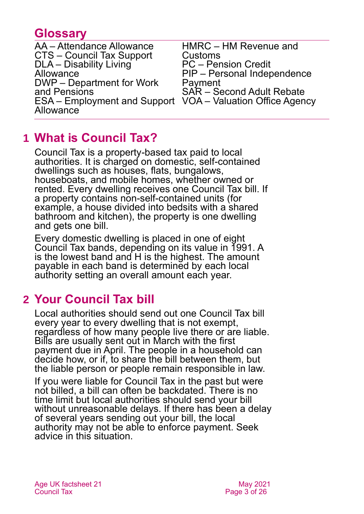## **Glossary**

| AA – Attendance Allowance                                  | HMRC - HM Revenue and            |
|------------------------------------------------------------|----------------------------------|
| CTS - Council Tax Support                                  | Customs                          |
| DLA - Disability Living                                    | <b>PC</b> – Pension Credit       |
| Allowance                                                  | PIP - Personal Independence      |
| DWP - Department for Work                                  | Payment                          |
| and Pensions                                               | <b>SAR</b> – Second Adult Rebate |
| ESA – Employment and Support VOA – Valuation Office Agency |                                  |
| Allowance                                                  |                                  |
|                                                            |                                  |

## <span id="page-2-0"></span>**1 What is Council Tax?**

Council Tax is a property-based tax paid to local authorities. It is charged on domestic, self-contained dwellings such as houses, flats, bungalows, houseboats, and mobile homes, whether owned or rented. Every dwelling receives one Council Tax bill. If a property contains non-self-contained units (for example, a house divided into bedsits with a shared bathroom and kitchen), the property is one dwelling and gets one bill.

Every domestic dwelling is placed in one of eight Council Tax bands, depending on its value in 1991. A is the lowest band and H is the highest. The amount payable in each band is determined by each local authority setting an overall amount each year.

## <span id="page-2-1"></span>**2 Your Council Tax bill**

Local authorities should send out one Council Tax bill every year to every dwelling that is not exempt, regardless of how many people live there or are liable. Bills are usually sent out in March with the first payment due in April. The people in a household can decide how, or if, to share the bill between them, but the liable person or people remain responsible in law.

If you were liable for Council Tax in the past but were not billed, a bill can often be backdated. There is no time limit but local authorities should send your bill without unreasonable delays. If there has been a delay of several years sending out your bill, the local authority may not be able to enforce payment. Seek advice in this situation.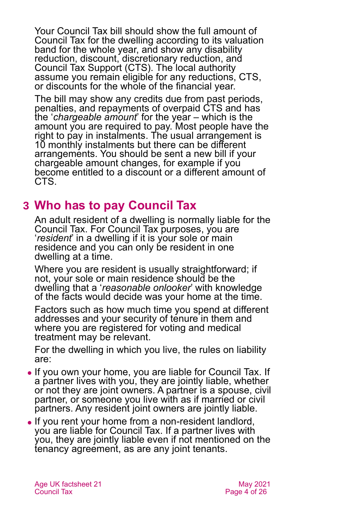Your Council Tax bill should show the full amount of Council Tax for the dwelling according to its valuation band for the whole year, and show any disability reduction, discount, discretionary reduction, and Council Tax Support (CTS). The local authority assume you remain eligible for any reductions, CTS, or discounts for the whole of the financial year.

The bill may show any credits due from past periods, penalties, and repayments of overpaid CTS and has the '*chargeable amount*' for the year – which is the amount you are required to pay. Most people have the right to pay in instalments. The usual arrangement is 10 monthly instalments but there can be different arrangements. You should be sent a new bill if your chargeable amount changes, for example if you become entitled to a discount or a different amount of CTS.

## <span id="page-3-0"></span>**3 Who has to pay Council Tax**

An adult resident of a dwelling is normally liable for the Council Tax. For Council Tax purposes, you are '*resident*' in a dwelling if it is your sole or main residence and you can only be resident in one dwelling at a time.

Where you are resident is usually straightforward; if not, your sole or main residence should be the dwelling that a '*reasonable onlooker*' with knowledge of the facts would decide was your home at the time.

Factors such as how much time you spend at different addresses and your security of tenure in them and where you are registered for voting and medical treatment may be relevant.

For the dwelling in which you live, the rules on liability are:

- ⚫ If you own your home, you are liable for Council Tax. If a partner lives with you, they are jointly liable, whether or not they are joint owners. A partner is a spouse, civil partner, or someone you live with as if married or civil partners. Any resident joint owners are jointly liable.
- If you rent your home from a non-resident landlord, you are liable for Council Tax. If a partner lives with you, they are jointly liable even if not mentioned on the tenancy agreement, as are any joint tenants.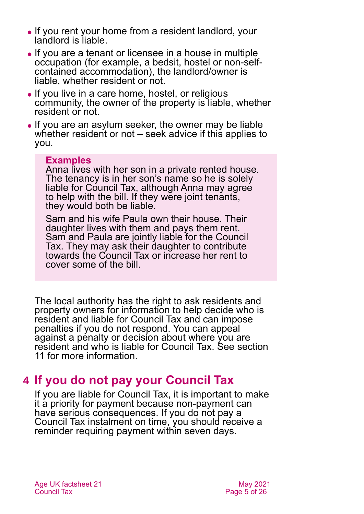- ⚫ If you rent your home from a resident landlord, your landlord is liable.
- ⚫ If you are a tenant or licensee in a house in multiple occupation (for example, a bedsit, hostel or non-selfcontained accommodation), the landlord/owner is liable, whether resident or not.
- If you live in a care home, hostel, or religious community, the owner of the property is liable, whether resident or not.
- ⚫ If you are an asylum seeker, the owner may be liable whether resident or not – seek advice if this applies to you.

#### **Examples**

Anna lives with her son in a private rented house. The tenancy is in her son's name so he is solely liable for Council Tax, although Anna may agree to help with the bill. If they were joint tenants, they would both be liable.

Sam and his wife Paula own their house. Their daughter lives with them and pays them rent. Sam and Paula are jointly liable for the Council Tax. They may ask their daughter to contribute towards the Council Tax or increase her rent to cover some of the bill.

The local authority has the right to ask residents and property owners for information to help decide who is resident and liable for Council Tax and can impose penalties if you do not respond. You can appeal against a penalty or decision about where you are resident and who is liable for Council Tax. See [section](#page-18-0)  [11](#page-18-0) for more information.

## <span id="page-4-0"></span>**4 If you do not pay your Council Tax**

If you are liable for Council Tax, it is important to make it a priority for payment because non-payment can have serious consequences. If you do not pay a Council Tax instalment on time, you should receive a reminder requiring payment within seven days.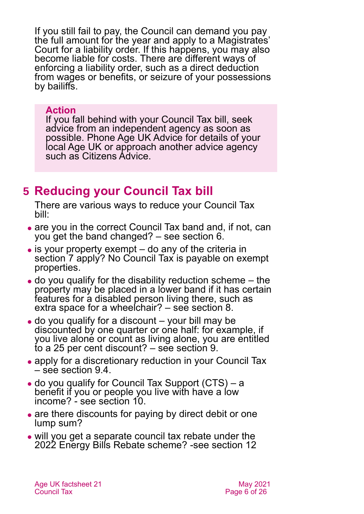If you still fail to pay, the Council can demand you pay the full amount for the year and apply to a Magistrates' Court for a liability order. If this happens, you may also become liable for costs. There are different ways of enforcing a liability order, such as a direct deduction from wages or benefits, or seizure of your possessions by bailiffs.

### **Action**

If you fall behind with your Council Tax bill, seek advice from an independent agency as soon as possible. Phone [Age UK Advice](#page-24-3) for details of your [local Age UK](#page-24-3) or approach another advice agency such as [Citizens Advice.](#page-22-0)

## <span id="page-5-0"></span>**5 Reducing your Council Tax bill**

There are various ways to reduce your Council Tax bill:

- are you in the correct Council Tax band and, if not, can you get the band changed? – see [section 6.](#page-6-0)
- $\bullet$  is your property exempt do any of the criteria in [section 7](#page-8-0) apply? No Council Tax is payable on exempt properties.
- $\bullet$  do you qualify for the disability reduction scheme  $-$  the property may be placed in a lower band if it has certain features for a disabled person living there, such as extra space for a wheelchair? – see [section 8.](#page-10-0)
- ⚫ do you qualify for a discount your bill may be discounted by one quarter or one half: for example, if you live alone or count as living alone, you are entitled to a 25 per cent discount? – see [section 9.](#page-11-0)
- apply for a discretionary reduction in your Council Tax – see [section 9.4.](#page-14-1)
- ⚫ do you qualify for Council Tax Support (CTS) a benefit if you or people you live with have a low income? - see [section 10.](#page-14-0)
- are there discounts for paying by direct debit or one lump sum?
- ⚫ will you get a separate council tax rebate under the 2022 Energy Bills Rebate scheme? [-see section 12](#page-19-0)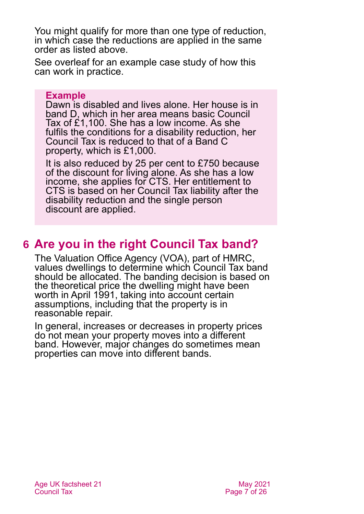You might qualify for more than one type of reduction, in which case the reductions are applied in the same order as listed above.

See overleaf for an example case study of how this can work in practice.

#### **Example**

Dawn is disabled and lives alone. Her house is in band D, which in her area means basic Council Tax of £1,100. She has a low income. As she fulfils the conditions for a disability reduction, her Council Tax is reduced to that of a Band C property, which is £1,000.

It is also reduced by 25 per cent to £750 because of the discount for living alone. As she has a low income, she applies for CTS. Her entitlement to CTS is based on her Council Tax liability after the disability reduction and the single person discount are applied.

## <span id="page-6-0"></span>**6 Are you in the right Council Tax band?**

The Valuation Office Agency (VOA), part of HMRC, values dwellings to determine which Council Tax band should be allocated. The banding decision is based on the theoretical price the dwelling might have been worth in April 1991, taking into account certain assumptions, including that the property is in reasonable repair.

In general, increases or decreases in property prices do not mean your property moves into a different band. However, major changes do sometimes mean properties can move into different bands.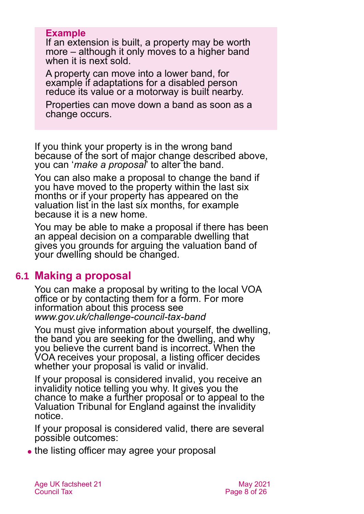### **Example**

If an extension is built, a property may be worth more – although it only moves to a higher band when it is next sold.

A property can move into a lower band, for example if adaptations for a disabled person reduce its value or a motorway is built nearby.

Properties can move down a band as soon as a change occurs.

If you think your property is in the wrong band because of the sort of major change described above, you can '*make a proposal*' to alter the band.

You can also make a proposal to change the band if you have moved to the property within the last six months or if your property has appeared on the valuation list in the last six months, for example because it is a new home.

You may be able to make a proposal if there has been an appeal decision on a comparable dwelling that gives you grounds for arguing the valuation band of your dwelling should be changed.

### **6.1 Making a proposal**

You can make a proposal by writing to the local VOA office or by contacting them for a form. For more information about this process see *[www.gov.uk/challenge-council-tax-band](http://www.gov.uk/challenge-council-tax-band)*

You must give information about yourself, the dwelling, the band you are seeking for the dwelling, and why you believe the current band is incorrect. When the VOA receives your proposal, a listing officer decides whether your proposal is valid or invalid.

If your proposal is considered invalid, you receive an invalidity notice telling you why. It gives you the chance to make a further proposal or to appeal to the Valuation Tribunal for England against the invalidity notice.

If your proposal is considered valid, there are several possible outcomes:

• the listing officer may agree your proposal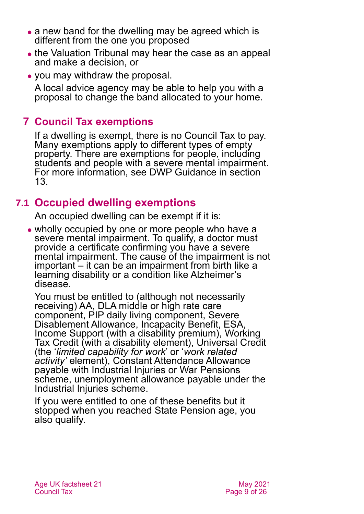- a new band for the dwelling may be agreed which is different from the one you proposed
- ⚫ the Valuation Tribunal may hear the case as an appeal and make a decision, or
- ⚫ you may withdraw the proposal.

A local advice agency may be able to help you with a proposal to change the band allocated to your home.

### <span id="page-8-0"></span>**7 Council Tax exemptions**

If a dwelling is exempt, there is no Council Tax to pay. Many exemptions apply to different types of empty property. There are exemptions for people, including students and people with a severe mental impairment. For more information, see DWP Guidance in [section](#page-20-0)  [13.](#page-20-0)

### <span id="page-8-1"></span>**7.1 Occupied dwelling exemptions**

An occupied dwelling can be exempt if it is:

⚫ wholly occupied by one or more people who have a severe mental impairment. To qualify, a doctor must provide a certificate confirming you have a severe mental impairment. The cause of the impairment is not important – it can be an impairment from birth like a learning disability or a condition like Alzheimer's disease.

You must be entitled to (although not necessarily receiving) AA, DLA middle or high rate care component, PIP daily living component, Severe Disablement Allowance, Incapacity Benefit, ESA, Income Support (with a disability premium), Working Tax Credit (with a disability element), Universal Credit (the '*limited capability for work*' or '*work related activity'* element), Constant Attendance Allowance payable with Industrial Injuries or War Pensions scheme, unemployment allowance payable under the Industrial Injuries scheme.

If you were entitled to one of these benefits but it stopped when you reached State Pension age, you also qualify.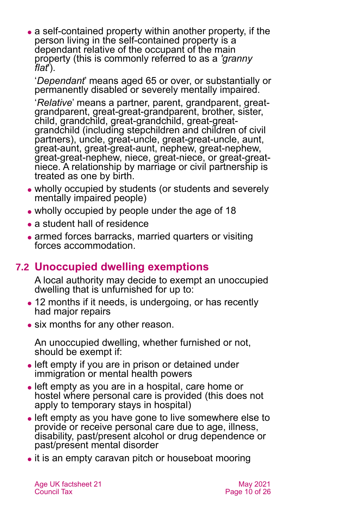• a self-contained property within another property, if the person living in the self-contained property is a dependant relative of the occupant of the main property (this is commonly referred to as a *'granny flat*').

'*Dependant*' means aged 65 or over, or substantially or permanently disabled or severely mentally impaired.

'*Relative*' means a partner, parent, grandparent, greatgrandparent, great-great-grandparent, brother, sister, child, grandchild, great-grandchild, great-greatgrandchild (including stepchildren and children of civil partners), uncle, great-uncle, great-great-uncle, aunt, great-aunt, great-great-aunt, nephew, great-nephew, great-great-nephew, niece, great-niece, or great-greatniece. A relationship by marriage or civil partnership is treated as one by birth.

- ⚫ wholly occupied by students (or students and severely mentally impaired people)
- ⚫ wholly occupied by people under the age of 18
- a student hall of residence
- armed forces barracks, married quarters or visiting forces accommodation.

## **7.2 Unoccupied dwelling exemptions**

A local authority may decide to exempt an unoccupied dwelling that is unfurnished for up to:

- 12 months if it needs, is undergoing, or has recently had major repairs
- ⚫ six months for any other reason.

An unoccupied dwelling, whether furnished or not, should be exempt if:

- left empty if you are in prison or detained under immigration or mental health powers
- ⚫ left empty as you are in a hospital, care home or hostel where personal care is provided (this does not apply to temporary stays in hospital)
- ⚫ left empty as you have gone to live somewhere else to provide or receive personal care due to age, illness, disability, past/present alcohol or drug dependence or past/present mental disorder
- it is an empty caravan pitch or houseboat mooring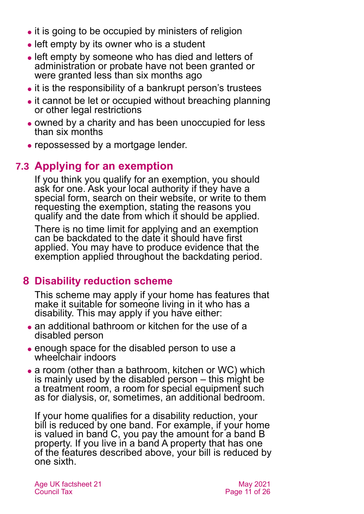- ⚫ it is going to be occupied by ministers of religion
- left empty by its owner who is a student
- ⚫ left empty by someone who has died and letters of administration or probate have not been granted or were granted less than six months ago
- it is the responsibility of a bankrupt person's trustees
- it cannot be let or occupied without breaching planning or other legal restrictions
- ⚫ owned by a charity and has been unoccupied for less than six months
- ⚫ repossessed by a mortgage lender.

## **7.3 Applying for an exemption**

If you think you qualify for an exemption, you should ask for one. Ask your local authority if they have a special form, search on their website, or write to them requesting the exemption, stating the reasons you qualify and the date from which it should be applied.

There is no time limit for applying and an exemption can be backdated to the date it should have first applied. You may have to produce evidence that the exemption applied throughout the backdating period.

## <span id="page-10-0"></span>**8 Disability reduction scheme**

This scheme may apply if your home has features that make it suitable for someone living in it who has a disability. This may apply if you have either:

- an additional bathroom or kitchen for the use of a disabled person
- ⚫ enough space for the disabled person to use a wheelchair indoors
- a room (other than a bathroom, kitchen or WC) which is mainly used by the disabled person – this might be a treatment room, a room for special equipment such as for dialysis, or, sometimes, an additional bedroom.

If your home qualifies for a disability reduction, your bill is reduced by one band. For example, if your home is valued in band C, you pay the amount for a band B property. If you live in a band A property that has one of the features described above, your bill is reduced by one sixth.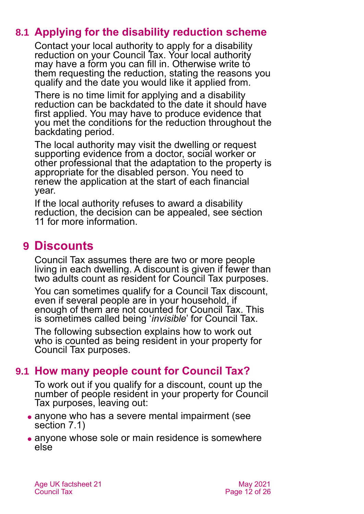### **8.1 Applying for the disability reduction scheme**

Contact your local authority to apply for a disability reduction on your Council Tax. Your local authority may have a form you can fill in. Otherwise write to them requesting the reduction, stating the reasons you qualify and the date you would like it applied from.

There is no time limit for applying and a disability reduction can be backdated to the date it should have first applied. You may have to produce evidence that you met the conditions for the reduction throughout the backdating period.

The local authority may visit the dwelling or request supporting evidence from a doctor, social worker or other professional that the adaptation to the property is appropriate for the disabled person. You need to renew the application at the start of each financial year.

If the local authority refuses to award a disability reduction, the decision can be appealed, see [section](#page-18-0)  [11](#page-18-0) for more information.

## <span id="page-11-0"></span>**9 Discounts**

Council Tax assumes there are two or more people living in each dwelling. A discount is given if fewer than two adults count as resident for Council Tax purposes.

You can sometimes qualify for a Council Tax discount, even if several people are in your household, if enough of them are not counted for Council Tax. This is sometimes called being '*invisible*' for Council Tax.

The following subsection explains how to work out who is counted as being resident in your property for Council Tax purposes.

## **9.1 How many people count for Council Tax?**

To work out if you qualify for a discount, count up the number of people resident in your property for Council Tax purposes, leaving out:

- anyone who has a severe mental impairment (see [section 7.1\)](#page-8-1)
- anyone whose sole or main residence is somewhere else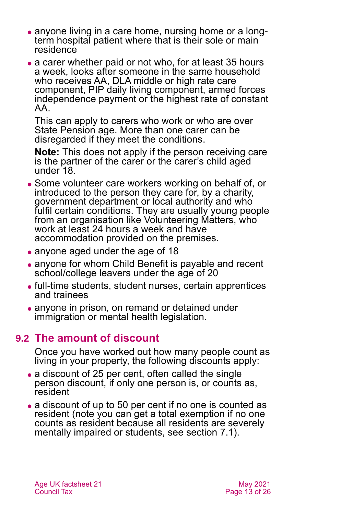- ⚫ anyone living in a care home, nursing home or a longterm hospital patient where that is their sole or main residence
- a carer whether paid or not who, for at least 35 hours a week, looks after someone in the same household who receives AA, DLA middle or high rate care component, PIP daily living component, armed forces independence payment or the highest rate of constant AA.

This can apply to carers who work or who are over State Pension age. More than one carer can be disregarded if they meet the conditions.

**Note:** This does not apply if the person receiving care is the partner of the carer or the carer's child aged under 18.

- ⚫ Some volunteer care workers working on behalf of, or introduced to the person they care for, by a charity, government department or local authority and who fulfil certain conditions. They are usually young people from an organisation like Volunteering Matters, who work at least 24 hours a week and have accommodation provided on the premises.
- anyone aged under the age of 18
- anyone for whom Child Benefit is payable and recent school/college leavers under the age of 20
- ⚫ full-time students, student nurses, certain apprentices and trainees
- anyone in prison, on remand or detained under immigration or mental health legislation.

### **9.2 The amount of discount**

Once you have worked out how many people count as living in your property, the following discounts apply:

- a discount of 25 per cent, often called the single person discount, if only one person is, or counts as, resident
- a discount of up to 50 per cent if no one is counted as resident (note you can get a total exemption if no one counts as resident because all residents are severely mentally impaired or students, see [section](#page-8-1) 7.1).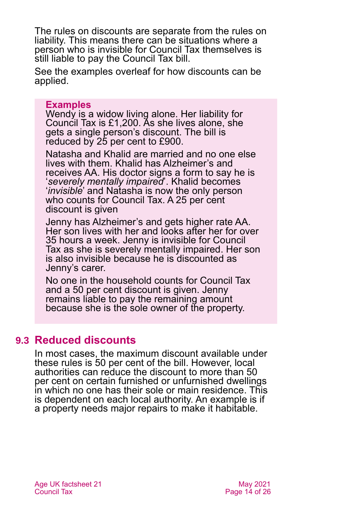The rules on discounts are separate from the rules on liability. This means there can be situations where a person who is invisible for Council Tax themselves is still liable to pay the Council Tax bill.

See the examples overleaf for how discounts can be applied.

#### **Examples**

Wendy is a widow living alone. Her liability for Council Tax is £1,200. As she lives alone, she gets a single person's discount. The bill is reduced by 25 per cent to £900.

Natasha and Khalid are married and no one else lives with them. Khalid has Alzheimer's and receives AA. His doctor signs a form to say he is '*severely mentally impaired*'. Khalid becomes '*invisible*' and Natasha is now the only person who counts for Council Tax. A 25 per cent discount is given

Jenny has Alzheimer's and gets higher rate AA. Her son lives with her and looks after her for over 35 hours a week. Jenny is invisible for Council Tax as she is severely mentally impaired. Her son is also invisible because he is discounted as Jenny's carer.

No one in the household counts for Council Tax and a 50 per cent discount is given. Jenny remains liable to pay the remaining amount because she is the sole owner of the property.

### **9.3 Reduced discounts**

In most cases, the maximum discount available under these rules is 50 per cent of the bill. However, local authorities can reduce the discount to more than 50 per cent on certain furnished or unfurnished dwellings in which no one has their sole or main residence. This is dependent on each local authority. An example is if a property needs major repairs to make it habitable.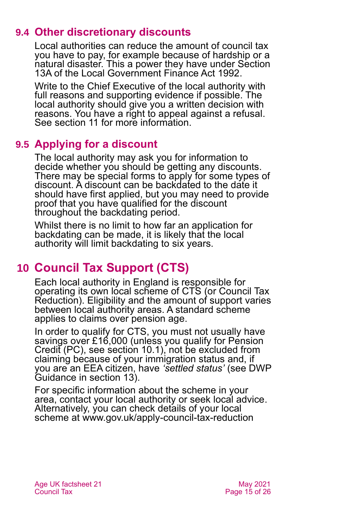### **9.4 Other discretionary discounts**

<span id="page-14-1"></span>Local authorities can reduce the amount of council tax you have to pay, for example because of hardship or a natural disaster. This a power they have under Section 13A of the Local Government Finance Act 1992.

Write to the Chief Executive of the local authority with full reasons and supporting evidence if possible. The local authority should give you a written decision with reasons. You have a right to appeal against a refusal. See [section 11](#page-18-0) for more information.

## **9.5 Applying for a discount**

The local authority may ask you for information to decide whether you should be getting any discounts. There may be special forms to apply for some types of discount. A discount can be backdated to the date it should have first applied, but you may need to provide proof that you have qualified for the discount throughout the backdating period.

Whilst there is no limit to how far an application for backdating can be made, it is likely that the local authority will limit backdating to six years.

## <span id="page-14-0"></span>**10 Council Tax Support (CTS)**

Each local authority in England is responsible for operating its own local scheme of CTS (or Council Tax Reduction). Eligibility and the amount of support varies between local authority areas. A standard scheme applies to claims over pension age.

In order to qualify for CTS, you must not usually have savings over £16,000 (unless you qualify for Pension Credit (PC), see [section 10.1\),](#page-15-0) not be excluded from claiming because of your immigration status and, if you are an EEA citizen, have *'settled status'* (see DWP Guidance in [section 13\)](#page-20-0).

For specific information about the scheme in your area, contact your local authority or seek local advice. Alternatively, you can check details of your local scheme at [www.gov.uk/apply-council-tax-reduction](http://www.gov.uk/apply-council-tax-reduction)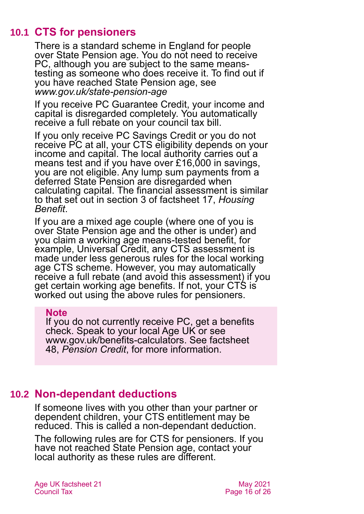### **10.1 CTS for pensioners**

<span id="page-15-0"></span>There is a standard scheme in England for people over State Pension age. You do not need to receive PC, although you are subject to the same meanstesting as someone who does receive it. To find out if you have reached State Pension age, see *[www.gov.uk/state-pension-age](http://www.gov.uk/state-pension-age)*

If you receive PC Guarantee Credit, your income and capital is disregarded completely. You automatically receive a full rebate on your council tax bill.

If you only receive PC Savings Credit or you do not receive PC at all, your CTS eligibility depends on your income and capital. The local authority carries out a means test and if you have over £16,000 in savings, you are not eligible. Any lump sum payments from a deferred State Pension are disregarded when calculating capital. The financial assessment is similar to that set out in section 3 of factsheet 17, *[Housing](https://www.ageuk.org.uk/globalassets/age-uk/documents/factsheets/fs17_housing_benefit_fcs.pdf)  [Benefit](https://www.ageuk.org.uk/globalassets/age-uk/documents/factsheets/fs17_housing_benefit_fcs.pdf)*.

If you are a mixed age couple (where one of you is over State Pension age and the other is under) and you claim a working age means-tested benefit, for example, Universal Credit, any CTS assessment is made under less generous rules for the local working age CTS scheme. However, you may automatically receive a full rebate (and avoid this assessment) if you get certain working age benefits. If not, your CTS is worked out using the above rules for pensioners.

#### **Note**

If you do not currently receive PC, get a benefits check. Speak to your local Age UK or see [www.gov.uk/benefits-calculators.](http://www.gov.uk/benefits-calculators) See [factsheet](https://www.ageuk.org.uk/globalassets/age-uk/documents/factsheets/fs48_pension_credit_fcs.pdf)  48, *[Pension Credit](https://www.ageuk.org.uk/globalassets/age-uk/documents/factsheets/fs48_pension_credit_fcs.pdf)*, for more information.

### **10.2 Non-dependant deductions**

<span id="page-15-1"></span>If someone lives with you other than your partner or dependent children, your CTS entitlement may be reduced. This is called a non-dependant deduction.

The following rules are for CTS for pensioners. If you have not reached State Pension age, contact your local authority as these rules are different.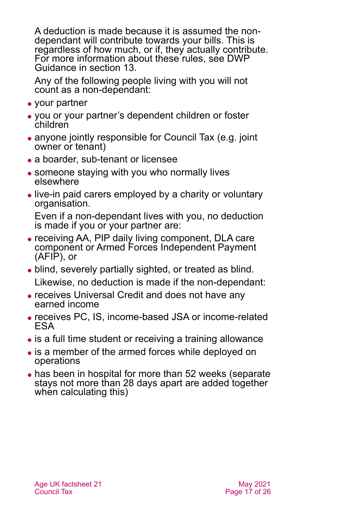A deduction is made because it is assumed the nondependant will contribute towards your bills. This is regardless of how much, or if, they actually contribute. For more information about these rules, see DWP Guidance in [section](#page-20-0) 13.

Any of the following people living with you will not count as a non-dependant:

- your partner
- ⚫ you or your partner's dependent children or foster children
- anyone jointly responsible for Council Tax (e.g. joint owner or tenant)
- a boarder, sub-tenant or licensee
- someone staying with you who normally lives elsewhere
- ⚫ live-in paid carers employed by a charity or voluntary organisation.

Even if a non-dependant lives with you, no deduction is made if you or your partner are:

- ⚫ receiving AA, PIP daily living component, DLA care component or Armed Forces Independent Payment (AFIP), or
- ⚫ blind, severely partially sighted, or treated as blind. Likewise, no deduction is made if the non-dependant:
- receives Universal Credit and does not have any earned income
- ⚫ receives PC, IS, income-based JSA or income-related ESA
- is a full time student or receiving a training allowance
- is a member of the armed forces while deployed on operations
- has been in hospital for more than 52 weeks (separate stays not more than 28 days apart are added together when calculating this)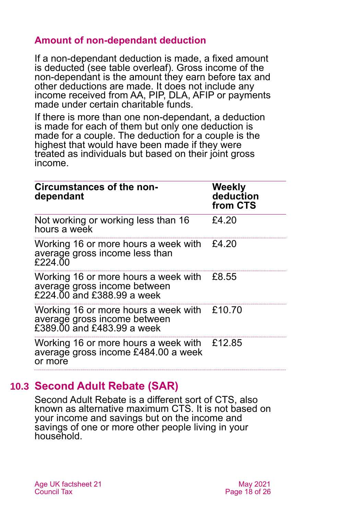### **Amount of non-dependant deduction**

If a non-dependant deduction is made, a fixed amount is deducted (see table overleaf). Gross income of the non-dependant is the amount they earn before tax and other deductions are made. It does not include any income received from AA, PIP, DLA, AFIP or payments made under certain charitable funds.

If there is more than one non-dependant, a deduction is made for each of them but only one deduction is made for a couple. The deduction for a couple is the highest that would have been made if they were treated as individuals but based on their joint gross income.

| <b>Circumstances of the non-</b><br>dependant                                                             | <b>Weekly</b><br>deduction<br>from CTS |
|-----------------------------------------------------------------------------------------------------------|----------------------------------------|
| Not working or working less than 16<br>hours a week                                                       | £4.20                                  |
| Working 16 or more hours a week with $£4.20$<br>average gross income less than<br>£224.00                 |                                        |
| Working 16 or more hours a week with<br>average gross income between<br>£224.00 and £388.99 a week        | £8.55                                  |
| Working 16 or more hours a week with £10.70<br>average gross income between<br>£389.00 and £483.99 a week |                                        |
| Working 16 or more hours a week with $£12.85$<br>average gross income £484.00 a week<br>or more           |                                        |

### **10.3 Second Adult Rebate (SAR)**

<span id="page-17-0"></span>Second Adult Rebate is a different sort of CTS, also known as alternative maximum CTS. It is not based on your income and savings but on the income and savings of one or more other people living in your household.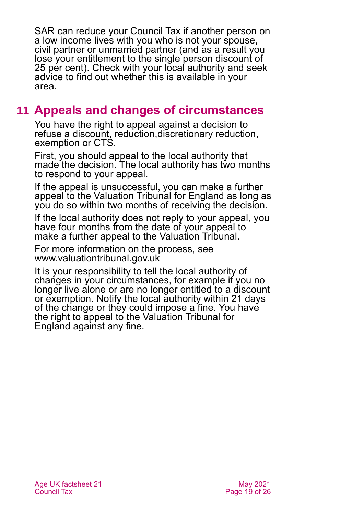SAR can reduce your Council Tax if another person on a low income lives with you who is not your spouse, civil partner or unmarried partner (and as a result you lose your entitlement to the single person discount of 25 per cent). Check with your local authority and seek advice to find out whether this is available in your area.

## <span id="page-18-0"></span>**11 Appeals and changes of circumstances**

You have the right to appeal against a decision to refuse a discount, reduction,discretionary reduction, exemption or CTS.

First, you should appeal to the local authority that made the decision. The local authority has two months to respond to your appeal.

If the appeal is unsuccessful, you can make a further appeal to the Valuation Tribunal for England as long as you do so within two months of receiving the decision.

If the local authority does not reply to your appeal, you have four months from the date of your appeal to make a further appeal to the Valuation Tribunal.

For more information on the process, see [www.valuationtribunal.gov.uk](http://www.valuationtribunal.gov.uk/)

It is your responsibility to tell the local authority of changes in your circumstances, for example if you no longer live alone or are no longer entitled to a discount or exemption. Notify the local authority within 21 days of the change or they could impose a fine. You have the right to appeal to the Valuation Tribunal for England against any fine.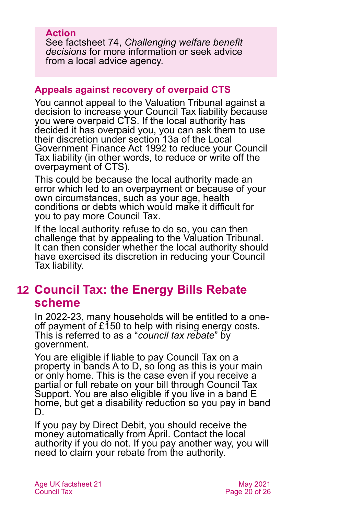### **Action**

See factsheet 74, *[Challenging welfare benefit](https://www.ageuk.org.uk/globalassets/age-uk/documents/factsheets/fs74_challenging_welfare_benefit_decisions_fcs.pdf)  [decisions](https://www.ageuk.org.uk/globalassets/age-uk/documents/factsheets/fs74_challenging_welfare_benefit_decisions_fcs.pdf)* for more information or seek advice from a local advice agency.

### **Appeals against recovery of overpaid CTS**

You cannot appeal to the Valuation Tribunal against a decision to increase your Council Tax liability because you were overpaid CTS. If the local authority has decided it has overpaid you, you can ask them to use their discretion under section 13a of the Local Government Finance Act 1992 to reduce your Council Tax liability (in other words, to reduce or write off the overpayment of CTS).

This could be because the local authority made an error which led to an overpayment or because of your own circumstances, such as your age, health conditions or debts which would make it difficult for you to pay more Council Tax.

If the local authority refuse to do so, you can then challenge that by appealing to the Valuation Tribunal. It can then consider whether the local authority should have exercised its discretion in reducing your Council Tax liability.

## <span id="page-19-0"></span>**12 Council Tax: the Energy Bills Rebate scheme**

In 2022-23, many households will be entitled to a oneoff payment of  $£150$  to help with rising energy costs. This is referred to as a "*council tax rebate*" by government.

You are eligible if liable to pay Council Tax on a property in bands A to D, so long as this is your main or only home. This is the case even if you receive a partial or full rebate on your bill through Council Tax Support. You are also eligible if you live in a band E home, but get a disability reduction so you pay in band D.

If you pay by Direct Debit, you should receive the money automatically from April. Contact the local authority if you do not. If you pay another way, you will need to claim your rebate from the authority.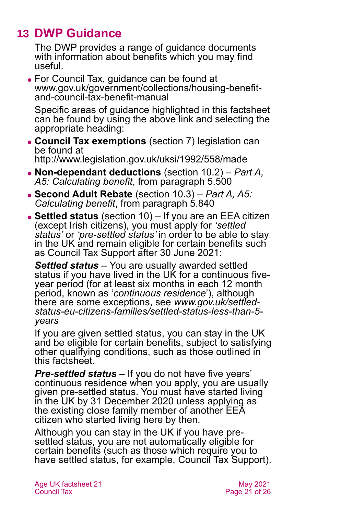## **13 DWP Guidance**

<span id="page-20-0"></span>The DWP provides a range of guidance documents with information about benefits which you may find useful.

⚫ For Council Tax, guidance can be found at [www.gov.uk/government/collections/housing-benefit](http://www.gov.uk/government/collections/housing-benefit-and-council-tax-benefit-manual)[and-council-tax-benefit-manual](http://www.gov.uk/government/collections/housing-benefit-and-council-tax-benefit-manual)

Specific areas of guidance highlighted in this factsheet can be found by using the above link and selecting the appropriate heading:

- ⚫ **Council Tax exemptions** [\(section 7\)](#page-8-0) legislation can be found at <http://www.legislation.gov.uk/uksi/1992/558/made>
- ⚫ **Non-dependant deductions** [\(section 10.2\)](#page-15-1) *[Part A,](https://assets.publishing.service.gov.uk/government/uploads/system/uploads/attachment_data/file/236954/hbgm-a5-calculating-benefit.pdf)  [A5: Calculating benefit](https://assets.publishing.service.gov.uk/government/uploads/system/uploads/attachment_data/file/236954/hbgm-a5-calculating-benefit.pdf)*, from paragraph 5.500
- ⚫ **Second Adult Rebate** [\(section 10.3\)](#page-17-0) *[Part A, A5:](https://assets.publishing.service.gov.uk/government/uploads/system/uploads/attachment_data/file/236954/hbgm-a5-calculating-benefit.pdf)  [Calculating benefit](https://assets.publishing.service.gov.uk/government/uploads/system/uploads/attachment_data/file/236954/hbgm-a5-calculating-benefit.pdf)*, from paragraph 5.840
- ⚫ **Settled status** [\(section 10\)](#page-14-0) If you are an EEA citizen (except Irish citizens), you must apply for *'settled status'* or *'pre-settled status'* in order to be able to stay in the UK and remain eligible for certain benefits such as Council Tax Support after 30 June 2021:

*Settled status –* You are usually awarded settled status if you have lived in the UK for a continuous fiveyear period (for at least six months in each 12 month period, known as '*continuous residence*'), although there are some exceptions, see *[www.gov.uk/settled](http://www.gov.uk/settled-status-eu-citizens-families/settled-status-less-than-5-years)[status-eu-citizens-families/settled-status-less-than-5](http://www.gov.uk/settled-status-eu-citizens-families/settled-status-less-than-5-years) [years](http://www.gov.uk/settled-status-eu-citizens-families/settled-status-less-than-5-years)*

If you are given settled status, you can stay in the UK and be eligible for certain benefits, subject to satisfying other qualifying conditions, such as those outlined in this factsheet.

*Pre-settled status –* If you do not have five years' continuous residence when you apply, you are usually given pre-settled status. You must have started living in the UK by 31 December 2020 unless applying as the existing close family member of another EEA citizen who started living here by then.

Although you can stay in the UK if you have presettled status, you are not automatically eligible for certain benefits (such as those which require you to have settled status, for example, Council Tax Support).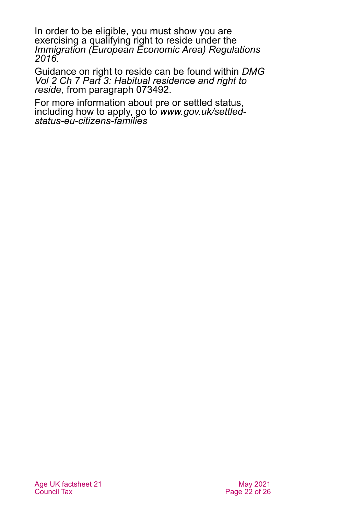In order to be eligible, you must show you are exercising a qualifying right to reside under the *[Immigration \(European Economic Area\) Regulations](https://www.legislation.gov.uk/uksi/2016/1052/made)  [2016.](https://www.legislation.gov.uk/uksi/2016/1052/made)*

Guidance on right to reside can be found within *[DMG](https://assets.publishing.service.gov.uk/government/uploads/system/uploads/attachment_data/file/949265/dmg-chapter-07-part-03-habitual-residence-and-right-to-reside-is-jsa-spc-esa-072770-073779.pdf)  [Vol 2 Ch 7 Part 3: Habitual residence and right to](https://assets.publishing.service.gov.uk/government/uploads/system/uploads/attachment_data/file/949265/dmg-chapter-07-part-03-habitual-residence-and-right-to-reside-is-jsa-spc-esa-072770-073779.pdf)  [reside,](https://assets.publishing.service.gov.uk/government/uploads/system/uploads/attachment_data/file/949265/dmg-chapter-07-part-03-habitual-residence-and-right-to-reside-is-jsa-spc-esa-072770-073779.pdf)* from paragraph 073492.

For more information about pre or settled status, including how to apply, go to *[www.gov.uk/settled](http://www.gov.uk/settled-status-eu-citizens-families)[status-eu-citizens-families](http://www.gov.uk/settled-status-eu-citizens-families)*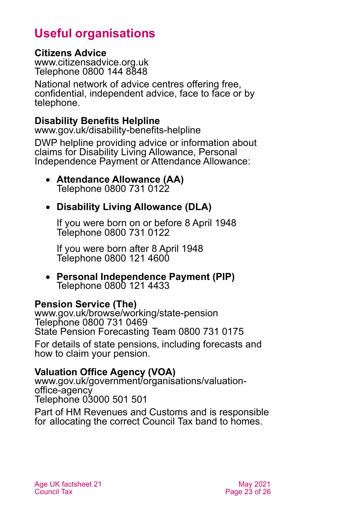## **Useful organisations**

### <span id="page-22-0"></span>**Citizens Advice**

[www.citizensadvice.org.uk](http://www.citizensadvice.org.uk/) Telephone 0800 144 8848

National network of advice centres offering free, confidential, independent advice, face to face or by telephone.

### **Disability Benefits Helpline**

[www.gov.uk/disability-benefits-helpline](http://www.gov.uk/disability-benefits-helpline)

DWP helpline providing advice or information about claims for Disability Living Allowance, Personal Independence Payment or Attendance Allowance:

• **Attendance Allowance (AA)** Telephone 0800 731 0122

### • **Disability Living Allowance (DLA)**

If you were born on or before 8 April 1948 Telephone 0800 731 0122

If you were born after 8 April 1948 Telephone 0800 121 4600

• **Personal Independence Payment (PIP)** Telephone 0800 121 4433

### **Pension Service (The)**

[www.gov.uk/browse/working/state-pension](http://www.gov.uk/browse/working/state-pension) Telephone 0800 731 0469 State Pension Forecasting Team 0800 731 0175

For details of state pensions, including forecasts and how to claim your pension.

### **Valuation Office Agency (VOA)**

[www.gov.uk/government/organisations/valuation](http://www.gov.uk/government/organisations/valuation-office-agency)[office-agency](http://www.gov.uk/government/organisations/valuation-office-agency) Telephone 03000 501 501

Part of HM Revenues and Customs and is responsible for allocating the correct Council Tax band to homes.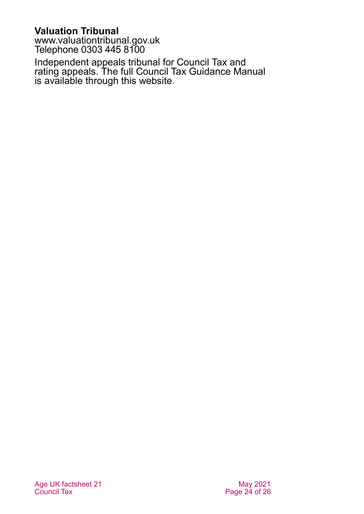**Valuation Tribunal**

[www.valuationtribunal.gov.uk](http://www.valuationtribunal.gov.uk/) Telephone 0303 445 8100

Independent appeals tribunal for Council Tax and rating appeals. The full Council Tax Guidance Manual is available through this website.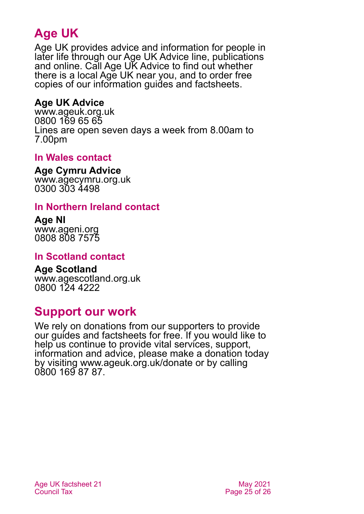## **Age UK**

Age UK provides advice and information for people in later life through our Age UK Advice line, publications and online. Call Age UK Advice to find out whether there is a local Age UK near you, and to order free copies of our information guides and factsheets.

### <span id="page-24-3"></span>**Age UK Advice**

[www.ageuk.org.uk](http://www.ageuk.org.uk/) 0800 169 65 65 Lines are open seven days a week from 8.00am to 7.00pm

### <span id="page-24-0"></span>**In Wales contact**

#### **Age Cymru Advice**

[www.agecymru.org.uk](http://www.agecymru.org.uk/) 0300 303 4498

### <span id="page-24-2"></span>**In Northern Ireland contact**

#### **Age NI** [www.ageni.org](http://www.ageni.org/) 0808 808 7575

### <span id="page-24-1"></span>**In Scotland contact**

#### <span id="page-24-4"></span>**Age Scotland** [www.agescotland.org.uk](http://www.agescotland.org.uk/) 0800 124 4222

## **Support our work**

We rely on donations from our supporters to provide our guides and factsheets for free. If you would like to help us continue to provide vital services, support, information and advice, please make a donation today by visiting [www.ageuk.org.uk/donate](http://www.ageuk.org.uk/donate) or by calling 0800 169 87 87.